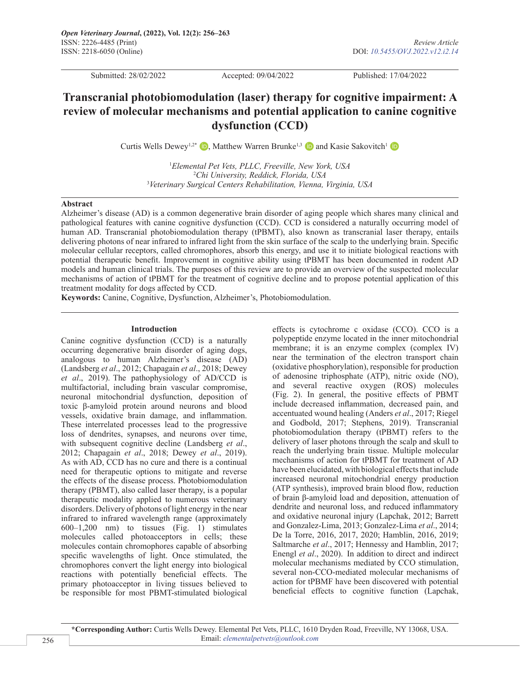Submitted: 28/02/2022 Accepted: 09/04/2022 Published: 17/04/2022

# **Transcranial photobiomodulation (laser) therapy for cognitive impairment: A review of molecular mechanisms and potential application to canine cognitive dysfunction (CCD)**

Curtis Wells Dewey<sup>1[,](https://orcid.org/0000-0002-2368-8835)2\*</sup>**D**, Matthew Warren Brunke<sup>1,3</sup> **D** and Kasie Sakovitch<sup>1</sup> **D** 

1 *Elemental Pet Vets, PLLC, Freeville, New York, USA* 2 *Chi University, Reddick, Florida, USA* 3 *Veterinary Surgical Centers Rehabilitation, Vienna, Virginia, USA*

## **Abstract**

Alzheimer's disease (AD) is a common degenerative brain disorder of aging people which shares many clinical and pathological features with canine cognitive dysfunction (CCD). CCD is considered a naturally occurring model of human AD. Transcranial photobiomodulation therapy (tPBMT), also known as transcranial laser therapy, entails delivering photons of near infrared to infrared light from the skin surface of the scalp to the underlying brain. Specific molecular cellular receptors, called chromophores, absorb this energy, and use it to initiate biological reactions with potential therapeutic benefit. Improvement in cognitive ability using tPBMT has been documented in rodent AD models and human clinical trials. The purposes of this review are to provide an overview of the suspected molecular mechanisms of action of tPBMT for the treatment of cognitive decline and to propose potential application of this treatment modality for dogs affected by CCD.

**Keywords:** Canine, Cognitive, Dysfunction, Alzheimer's, Photobiomodulation.

# **Introduction**

Canine cognitive dysfunction (CCD) is a naturally occurring degenerative brain disorder of aging dogs, analogous to human Alzheimer's disease (AD) (Landsberg *et al*., 2012; Chapagain *et al*., 2018; Dewey *et al*., 2019). The pathophysiology of AD/CCD is multifactorial, including brain vascular compromise, neuronal mitochondrial dysfunction, deposition of toxic β-amyloid protein around neurons and blood vessels, oxidative brain damage, and inflammation. These interrelated processes lead to the progressive loss of dendrites, synapses, and neurons over time, with subsequent cognitive decline (Landsberg *et al*., 2012; Chapagain *et al*., 2018; Dewey *et al*., 2019). As with AD, CCD has no cure and there is a continual need for therapeutic options to mitigate and reverse the effects of the disease process. Photobiomodulation therapy (PBMT), also called laser therapy, is a popular therapeutic modality applied to numerous veterinary disorders. Delivery of photons of light energy in the near infrared to infrared wavelength range (approximately 600–1,200 nm) to tissues (Fig. 1) stimulates molecules called photoacceptors in cells; these molecules contain chromophores capable of absorbing specific wavelengths of light. Once stimulated, the chromophores convert the light energy into biological reactions with potentially beneficial effects. The primary photoacceptor in living tissues believed to be responsible for most PBMT-stimulated biological

effects is cytochrome c oxidase (CCO). CCO is a polypeptide enzyme located in the inner mitochondrial membrane; it is an enzyme complex (complex IV) near the termination of the electron transport chain (oxidative phosphorylation), responsible for production of adenosine triphosphate (ATP), nitric oxide (NO), and several reactive oxygen (ROS) molecules (Fig. 2). In general, the positive effects of PBMT include decreased inflammation, decreased pain, and accentuated wound healing (Anders *et al*., 2017; Riegel and Godbold, 2017; Stephens, 2019). Transcranial photobiomodulation therapy (tPBMT) refers to the delivery of laser photons through the scalp and skull to reach the underlying brain tissue. Multiple molecular mechanisms of action for tPBMT for treatment of AD have been elucidated, with biological effects that include increased neuronal mitochondrial energy production (ATP synthesis), improved brain blood flow, reduction of brain β-amyloid load and deposition, attenuation of dendrite and neuronal loss, and reduced inflammatory and oxidative neuronal injury (Lapchak, 2012; Barrett and Gonzalez-Lima, 2013; Gonzalez-Lima *et al*., 2014; De la Torre, 2016, 2017, 2020; Hamblin, 2016, 2019; Saltmarche *et al*., 2017; Hennessy and Hamblin, 2017; Enengl *et al*., 2020). In addition to direct and indirect molecular mechanisms mediated by CCO stimulation, several non-CCO-mediated molecular mechanisms of action for tPBMF have been discovered with potential beneficial effects to cognitive function (Lapchak,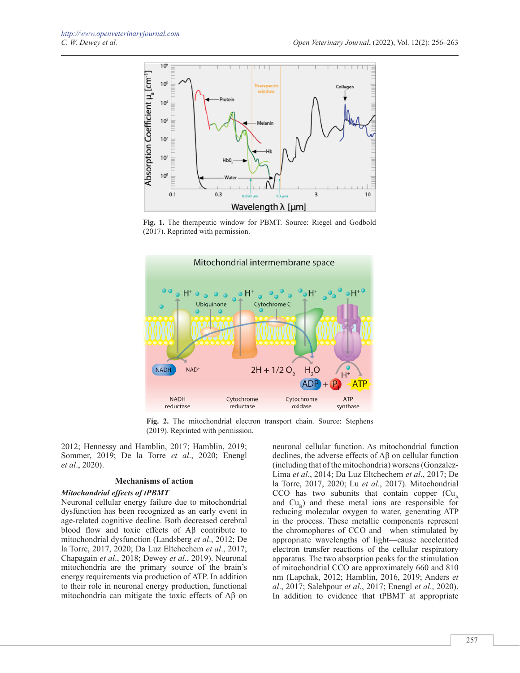

**Fig. 1.** The therapeutic window for PBMT. Source: Riegel and Godbold (2017). Reprinted with permission.



**Fig. 2.** The mitochondrial electron transport chain. Source: Stephens (2019). Reprinted with permission.

2012; Hennessy and Hamblin, 2017; Hamblin, 2019; Sommer, 2019; De la Torre *et al*., 2020; Enengl *et al*., 2020).

# **Mechanisms of action**

## *Mitochondrial effects of tPBMT*

Neuronal cellular energy failure due to mitochondrial dysfunction has been recognized as an early event in age-related cognitive decline. Both decreased cerebral blood flow and toxic effects of Aβ contribute to mitochondrial dysfunction (Landsberg *et al*., 2012; De la Torre, 2017, 2020; Da Luz Eltchechem *et al*., 2017; Chapagain *et al*., 2018; Dewey *et al*., 2019). Neuronal mitochondria are the primary source of the brain's energy requirements via production of ATP. In addition to their role in neuronal energy production, functional mitochondria can mitigate the toxic effects of Aβ on

neuronal cellular function. As mitochondrial function declines, the adverse effects of Aβ on cellular function (including that of the mitochondria) worsens (Gonzalez-Lima *et al*., 2014; Da Luz Eltchechem *et al*., 2017; De la Torre, 2017, 2020; Lu *et al*., 2017). Mitochondrial  $CCO$  has two subunits that contain copper  $(Cu)$ , and  $Cu<sub>n</sub>$ ) and these metal ions are responsible for reducing molecular oxygen to water, generating ATP in the process. These metallic components represent the chromophores of CCO and—when stimulated by appropriate wavelengths of light—cause accelerated electron transfer reactions of the cellular respiratory apparatus. The two absorption peaks for the stimulation of mitochondrial CCO are approximately 660 and 810 nm (Lapchak, 2012; Hamblin, 2016, 2019; Anders *et al*., 2017; Salehpour *et al*., 2017; Enengl *et al*., 2020). In addition to evidence that tPBMT at appropriate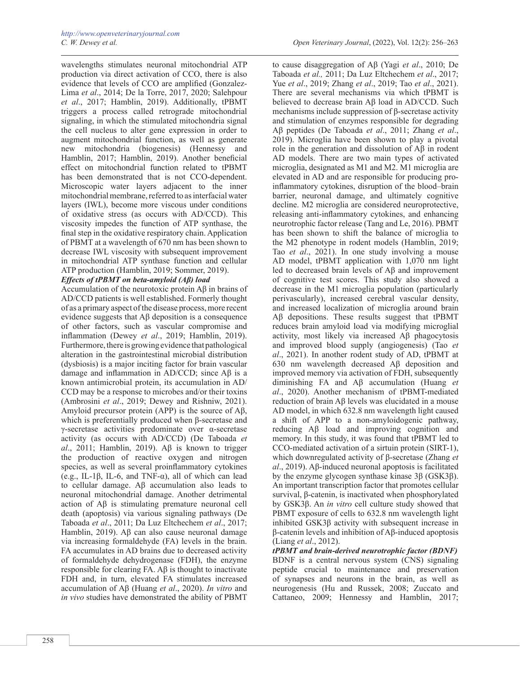wavelengths stimulates neuronal mitochondrial ATP production via direct activation of CCO, there is also evidence that levels of CCO are amplified (Gonzalez-Lima *et al*., 2014; De la Torre, 2017, 2020; Salehpour *et al*., 2017; Hamblin, 2019). Additionally, tPBMT triggers a process called retrograde mitochondrial signaling, in which the stimulated mitochondria signal the cell nucleus to alter gene expression in order to augment mitochondrial function, as well as generate new mitochondria (biogenesis) (Hennessy and Hamblin, 2017; Hamblin, 2019). Another beneficial effect on mitochondrial function related to tPBMT has been demonstrated that is not CCO-dependent. Microscopic water layers adjacent to the inner mitochondrial membrane, referred to as interfacial water layers (IWL), become more viscous under conditions of oxidative stress (as occurs with AD/CCD). This viscosity impedes the function of ATP synthase, the final step in the oxidative respiratory chain. Application of PBMT at a wavelength of 670 nm has been shown to decrease IWL viscosity with subsequent improvement in mitochondrial ATP synthase function and cellular ATP production (Hamblin, 2019; Sommer, 2019). *Effects of tPBMT on beta-amyloid (Aβ) load*

Accumulation of the neurotoxic protein Aβ in brains of AD/CCD patients is well established. Formerly thought of as a primary aspect of the disease process, more recent evidence suggests that  $\text{A}$ β deposition is a consequence of other factors, such as vascular compromise and inflammation (Dewey *et al*., 2019; Hamblin, 2019). Furthermore, there is growing evidence that pathological alteration in the gastrointestinal microbial distribution (dysbiosis) is a major inciting factor for brain vascular damage and inflammation in AD/CCD; since Aβ is a known antimicrobial protein, its accumulation in AD/ CCD may be a response to microbes and/or their toxins (Ambrosini *et al*., 2019; Dewey and Rishniw, 2021). Amyloid precursor protein (APP) is the source of Aβ, which is preferentially produced when β-secretase and γ-secretase activities predominate over α-secretase activity (as occurs with AD/CCD) (De Taboada *et al*., 2011; Hamblin, 2019). Aβ is known to trigger the production of reactive oxygen and nitrogen species, as well as several proinflammatory cytokines (e.g., IL-1 $\beta$ , IL-6, and TNF- $\alpha$ ), all of which can lead to cellular damage. Aβ accumulation also leads to neuronal mitochondrial damage. Another detrimental action of Aβ is stimulating premature neuronal cell death (apoptosis) via various signaling pathways (De Taboada *et al*., 2011; Da Luz Eltchechem *et al*., 2017; Hamblin, 2019). Aβ can also cause neuronal damage via increasing formaldehyde (FA) levels in the brain. FA accumulates in AD brains due to decreased activity of formaldehyde dehydrogenase (FDH), the enzyme responsible for clearing FA. Aβ is thought to inactivate FDH and, in turn, elevated FA stimulates increased accumulation of Aβ (Huang *et al*., 2020). *In vitro* and *in vivo* studies have demonstrated the ability of PBMT

to cause disaggregation of Aβ (Yagi *et al*., 2010; De Taboada *et al.,* 2011; Da Luz Eltchechem *et al*., 2017; Yue *et al*., 2019; Zhang *et al*., 2019; Tao *et al*., 2021). There are several mechanisms via which tPBMT is believed to decrease brain Aβ load in AD/CCD. Such mechanisms include suppression of β-secretase activity and stimulation of enzymes responsible for degrading Aβ peptides (De Taboada *et al*., 2011; Zhang *et al*., 2019). Microglia have been shown to play a pivotal role in the generation and dissolution of Aβ in rodent AD models. There are two main types of activated microglia, designated as M1 and M2. M1 microglia are elevated in AD and are responsible for producing proinflammatory cytokines, disruption of the blood–brain barrier, neuronal damage, and ultimately cognitive decline. M2 microglia are considered neuroprotective, releasing anti-inflammatory cytokines, and enhancing neurotrophic factor release (Tang and Le, 2016). PBMT has been shown to shift the balance of microglia to the M2 phenotype in rodent models (Hamblin, 2019; Tao *et al*., 2021). In one study involving a mouse AD model, tPBMT application with 1,070 nm light led to decreased brain levels of Aβ and improvement of cognitive test scores. This study also showed a decrease in the M1 microglia population (particularly perivascularly), increased cerebral vascular density, and increased localization of microglia around brain Aβ depositions. These results suggest that tPBMT reduces brain amyloid load via modifying microglial activity, most likely via increased Aβ phagocytosis and improved blood supply (angiogenesis) (Tao *et al*., 2021). In another rodent study of AD, tPBMT at 630 nm wavelength decreased Aβ deposition and improved memory via activation of FDH, subsequently diminishing FA and Aβ accumulation (Huang *et al*., 2020). Another mechanism of tPBMT-mediated reduction of brain Aβ levels was elucidated in a mouse AD model, in which 632.8 nm wavelength light caused a shift of APP to a non-amyloidogenic pathway, reducing Aβ load and improving cognition and memory. In this study, it was found that tPBMT led to CCO-mediated activation of a sirtuin protein (SIRT-1), which downregulated activity of β-secretase (Zhang *et al*., 2019). Aβ-induced neuronal apoptosis is facilitated by the enzyme glycogen synthase kinase 3β (GSK3β). An important transcription factor that promotes cellular survival, β-catenin, is inactivated when phosphorylated by GSK3β. An *in vitro* cell culture study showed that PBMT exposure of cells to 632.8 nm wavelength light inhibited GSK3β activity with subsequent increase in β-catenin levels and inhibition of Aβ-induced apoptosis (Liang *et al*., 2012).

*tPBMT and brain-derived neurotrophic factor (BDNF)* BDNF is a central nervous system (CNS) signaling peptide crucial to maintenance and preservation of synapses and neurons in the brain, as well as neurogenesis (Hu and Russek, 2008; Zuccato and Cattaneo, 2009; Hennessy and Hamblin, 2017;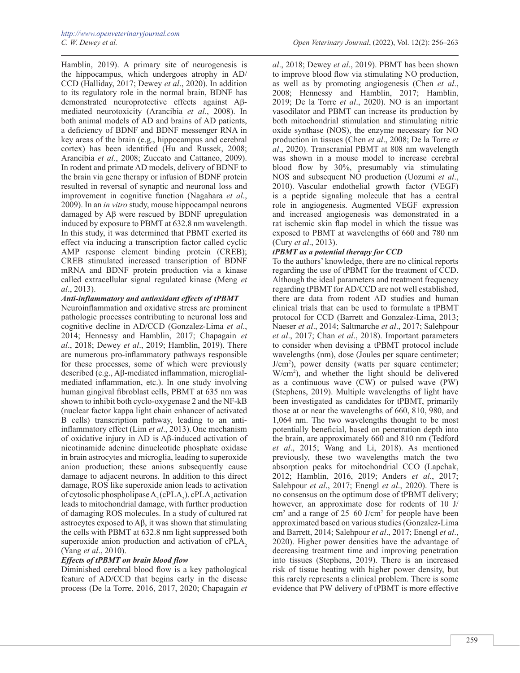Hamblin, 2019). A primary site of neurogenesis is the hippocampus, which undergoes atrophy in AD/ CCD (Halliday, 2017; Dewey *et al*., 2020). In addition to its regulatory role in the normal brain, BDNF has demonstrated neuroprotective effects against Aβmediated neurotoxicity (Arancibia *et al*., 2008). In both animal models of AD and brains of AD patients, a deficiency of BDNF and BDNF messenger RNA in key areas of the brain (e.g., hippocampus and cerebral cortex) has been identified (Hu and Russek, 2008; Arancibia *et al*., 2008; Zuccato and Cattaneo, 2009). In rodent and primate AD models, delivery of BDNF to the brain via gene therapy or infusion of BDNF protein resulted in reversal of synaptic and neuronal loss and improvement in cognitive function (Nagahara *et al*., 2009). In an *in vitro* study, mouse hippocampal neurons damaged by Aβ were rescued by BDNF upregulation induced by exposure to PBMT at 632.8 nm wavelength. In this study, it was determined that PBMT exerted its effect via inducing a transcription factor called cyclic AMP response element binding protein (CREB); CREB stimulated increased transcription of BDNF mRNA and BDNF protein production via a kinase called extracellular signal regulated kinase (Meng *et al*., 2013).

*Anti-inflammatory and antioxidant effects of tPBMT*

Neuroinflammation and oxidative stress are prominent pathologic processes contributing to neuronal loss and cognitive decline in AD/CCD (Gonzalez-Lima *et al*., 2014; Hennessy and Hamblin, 2017; Chapagain *et al*., 2018; Dewey *et al*., 2019; Hamblin, 2019). There are numerous pro-inflammatory pathways responsible for these processes, some of which were previously described (e.g., Aβ-mediated inflammation, microglialmediated inflammation, etc.). In one study involving human gingival fibroblast cells, PBMT at 635 nm was shown to inhibit both cyclo-oxygenase 2 and the NF-kB (nuclear factor kappa light chain enhancer of activated B cells) transcription pathway, leading to an antiinflammatory effect (Lim *et al.*, 2013). One mechanism of oxidative injury in AD is Aβ-induced activation of nicotinamide adenine dinucleotide phosphate oxidase in brain astrocytes and microglia, leading to superoxide anion production; these anions subsequently cause damage to adjacent neurons. In addition to this direct damage, ROS like superoxide anion leads to activation of cytosolic phospholipase  $A_2$  (cPLA<sub>2</sub>). cPLA<sub>2</sub> activation leads to mitochondrial damage, with further production of damaging ROS molecules. In a study of cultured rat astrocytes exposed to Aβ, it was shown that stimulating the cells with PBMT at 632.8 nm light suppressed both superoxide anion production and activation of cPLA<sub>2</sub> (Yang *et al*., 2010).

# *Effects of tPBMT on brain blood flow*

Diminished cerebral blood flow is a key pathological feature of AD/CCD that begins early in the disease process (De la Torre, 2016, 2017, 2020; Chapagain *et* 

*al*., 2018; Dewey *et al*., 2019). PBMT has been shown to improve blood flow via stimulating NO production, as well as by promoting angiogenesis (Chen *et al*., 2008; Hennessy and Hamblin, 2017; Hamblin, 2019; De la Torre *et al*., 2020). NO is an important vasodilator and PBMT can increase its production by both mitochondrial stimulation and stimulating nitric oxide synthase (NOS), the enzyme necessary for NO production in tissues (Chen *et al*., 2008; De la Torre *et al*., 2020). Transcranial PBMT at 808 nm wavelength was shown in a mouse model to increase cerebral blood flow by 30%, presumably via stimulating NOS and subsequent NO production (Uozumi *et al*., 2010). Vascular endothelial growth factor (VEGF) is a peptide signaling molecule that has a central role in angiogenesis. Augmented VEGF expression and increased angiogenesis was demonstrated in a rat ischemic skin flap model in which the tissue was exposed to PBMT at wavelengths of 660 and 780 nm (Cury *et al*., 2013).

## *tPBMT as a potential therapy for CCD*

To the authors' knowledge, there are no clinical reports regarding the use of tPBMT for the treatment of CCD. Although the ideal parameters and treatment frequency regarding tPBMT for AD/CCD are not well established, there are data from rodent AD studies and human clinical trials that can be used to formulate a tPBMT protocol for CCD (Barrett and Gonzalez-Lima, 2013; Naeser *et al*., 2014; Saltmarche *et al*., 2017; Salehpour *et al*., 2017; Chan *et al*., 2018). Important parameters to consider when devising a tPBMT protocol include wavelengths (nm), dose (Joules per square centimeter; J/cm2 ), power density (watts per square centimeter; W/cm2 ), and whether the light should be delivered as a continuous wave (CW) or pulsed wave (PW) (Stephens, 2019). Multiple wavelengths of light have been investigated as candidates for tPBMT, primarily those at or near the wavelengths of 660, 810, 980, and 1,064 nm. The two wavelengths thought to be most potentially beneficial, based on penetration depth into the brain, are approximately 660 and 810 nm (Tedford *et al*., 2015; Wang and Li, 2018). As mentioned previously, these two wavelengths match the two absorption peaks for mitochondrial CCO (Lapchak, 2012; Hamblin, 2016, 2019; Anders *et al*., 2017; Salehpour *et al*., 2017; Enengl *et al*., 2020). There is no consensus on the optimum dose of tPBMT delivery; however, an approximate dose for rodents of 10 J/ cm2 and a range of 25–60 J/cm2 for people have been approximated based on various studies (Gonzalez-Lima and Barrett, 2014; Salehpour *et al*., 2017; Enengl *et al*., 2020). Higher power densities have the advantage of decreasing treatment time and improving penetration into tissues (Stephens, 2019). There is an increased risk of tissue heating with higher power density, but this rarely represents a clinical problem. There is some evidence that PW delivery of tPBMT is more effective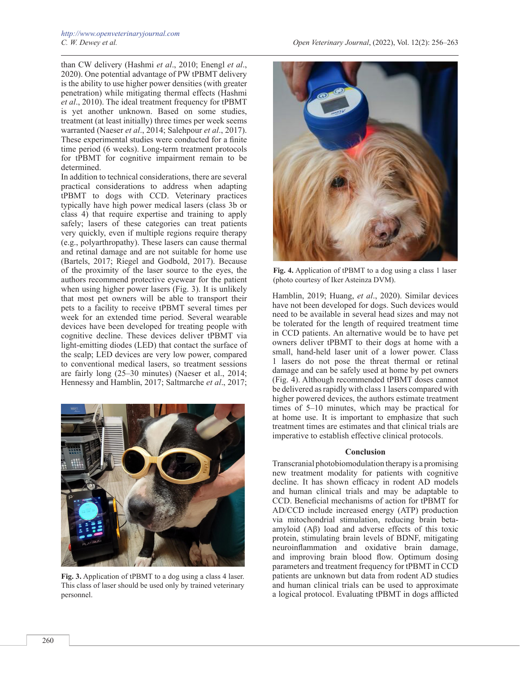than CW delivery (Hashmi *et al*., 2010; Enengl *et al*., 2020). One potential advantage of PW tPBMT delivery is the ability to use higher power densities (with greater penetration) while mitigating thermal effects (Hashmi *et al*., 2010). The ideal treatment frequency for tPBMT is yet another unknown. Based on some studies, treatment (at least initially) three times per week seems warranted (Naeser *et al*., 2014; Salehpour *et al*., 2017). These experimental studies were conducted for a finite time period (6 weeks). Long-term treatment protocols for tPBMT for cognitive impairment remain to be determined.

In addition to technical considerations, there are several practical considerations to address when adapting tPBMT to dogs with CCD. Veterinary practices typically have high power medical lasers (class 3b or class 4) that require expertise and training to apply safely; lasers of these categories can treat patients very quickly, even if multiple regions require therapy (e.g., polyarthropathy). These lasers can cause thermal and retinal damage and are not suitable for home use (Bartels, 2017; Riegel and Godbold, 2017). Because of the proximity of the laser source to the eyes, the authors recommend protective eyewear for the patient when using higher power lasers (Fig. 3). It is unlikely that most pet owners will be able to transport their pets to a facility to receive tPBMT several times per week for an extended time period. Several wearable devices have been developed for treating people with cognitive decline. These devices deliver tPBMT via light-emitting diodes (LED) that contact the surface of the scalp; LED devices are very low power, compared to conventional medical lasers, so treatment sessions are fairly long (25–30 minutes) (Naeser et al., 2014; Hennessy and Hamblin, 2017; Saltmarche *et al*., 2017;



**Fig. 3.** Application of tPBMT to a dog using a class 4 laser. This class of laser should be used only by trained veterinary personnel.



**Fig. 4.** Application of tPBMT to a dog using a class 1 laser (photo courtesy of Iker Asteinza DVM).

Hamblin, 2019; Huang, *et al*., 2020). Similar devices have not been developed for dogs. Such devices would need to be available in several head sizes and may not be tolerated for the length of required treatment time in CCD patients. An alternative would be to have pet owners deliver tPBMT to their dogs at home with a small, hand-held laser unit of a lower power. Class 1 lasers do not pose the threat thermal or retinal damage and can be safely used at home by pet owners (Fig. 4). Although recommended tPBMT doses cannot be delivered as rapidly with class 1 lasers compared with higher powered devices, the authors estimate treatment times of 5–10 minutes, which may be practical for at home use. It is important to emphasize that such treatment times are estimates and that clinical trials are imperative to establish effective clinical protocols.

#### **Conclusion**

Transcranial photobiomodulation therapy is a promising new treatment modality for patients with cognitive decline. It has shown efficacy in rodent AD models and human clinical trials and may be adaptable to CCD. Beneficial mechanisms of action for tPBMT for AD/CCD include increased energy (ATP) production via mitochondrial stimulation, reducing brain betaamyloid (Aβ) load and adverse effects of this toxic protein, stimulating brain levels of BDNF, mitigating neuroinflammation and oxidative brain damage, and improving brain blood flow. Optimum dosing parameters and treatment frequency for tPBMT in CCD patients are unknown but data from rodent AD studies and human clinical trials can be used to approximate a logical protocol. Evaluating tPBMT in dogs afflicted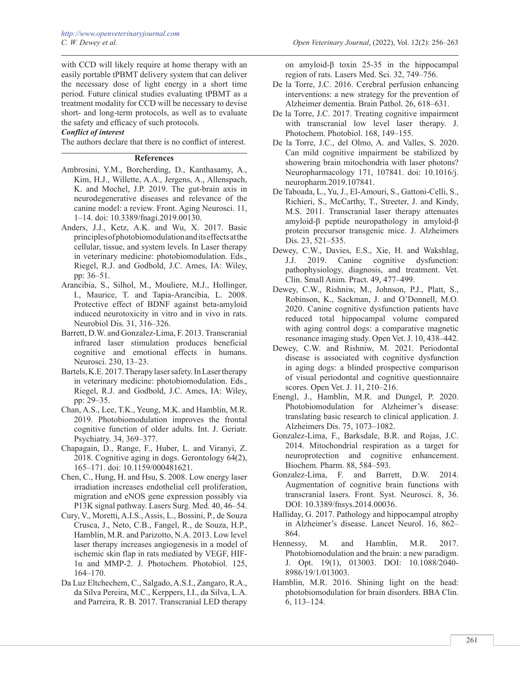with CCD will likely require at home therapy with an easily portable tPBMT delivery system that can deliver the necessary dose of light energy in a short time period. Future clinical studies evaluating tPBMT as a treatment modality for CCD will be necessary to devise short- and long-term protocols, as well as to evaluate the safety and efficacy of such protocols.

## *Conflict of interest*

The authors declare that there is no conflict of interest.

#### **References**

- Ambrosini, Y.M., Borcherding, D., Kanthasamy, A., Kim, H.J., Willette, A.A., Jergens, A., Allenspach, K. and Mochel, J.P. 2019. The gut-brain axis in neurodegenerative diseases and relevance of the canine model: a review. Front. Aging Neurosci. 11, 1–14. doi: 10.3389/fnagi.2019.00130.
- Anders, J.J., Ketz, A.K. and Wu, X. 2017. Basic principles of photobiomodulation and its effects at the cellular, tissue, and system levels. In Laser therapy in veterinary medicine: photobiomodulation. Eds., Riegel, R.J. and Godbold, J.C. Ames, IA: Wiley, pp: 36–51.
- Arancibia, S., Silhol, M., Mouliere, M.J., Hollinger, I., Maurice, T. and Tapia-Arancibia, L. 2008. Protective effect of BDNF against beta-amyloid induced neurotoxicity in vitro and in vivo in rats. Neurobiol Dis. 31, 316–326.
- Barrett, D.W. and Gonzalez-Lima, F. 2013. Transcranial infrared laser stimulation produces beneficial cognitive and emotional effects in humans. Neurosci. 230, 13–23.
- Bartels, K.E. 2017. Therapy laser safety. In Laser therapy in veterinary medicine: photobiomodulation. Eds., Riegel, R.J. and Godbold, J.C. Ames, IA: Wiley, pp: 29–35.
- Chan, A.S., Lee, T.K., Yeung, M.K. and Hamblin, M.R. 2019. Photobiomodulation improves the frontal cognitive function of older adults. Int. J. Geriatr. Psychiatry. 34, 369–377.
- Chapagain, D., Range, F., Huber, L. and Viranyi, Z. 2018. Cognitive aging in dogs. Gerontology 64(2), 165–171. doi: 10.1159/000481621.
- Chen, C., Hung, H. and Hsu, S. 2008. Low energy laser irradiation increases endothelial cell proliferation, migration and eNOS gene expression possibly via P13K signal pathway. Lasers Surg. Med. 40, 46–54.
- Cury, V., Moretti, A.I.S., Assis, L., Bossini, P., de Souza Crusca, J., Neto, C.B., Fangel, R., de Souza, H.P., Hamblin, M.R. and Parizotto, N.A. 2013. Low level laser therapy increases angiogenesis in a model of ischemic skin flap in rats mediated by VEGF, HIF-1α and MMP-2. J. Photochem. Photobiol. 125, 164–170.
- Da Luz Eltchechem, C., Salgado, A.S.I., Zangaro, R.A., da Silva Pereira, M.C., Kerppers, I.I., da Silva, L.A. and Parreira, R. B. 2017. Transcranial LED therapy

on amyloid-β toxin 25-35 in the hippocampal region of rats. Lasers Med. Sci. 32, 749–756.

- De la Torre, J.C. 2016. Cerebral perfusion enhancing interventions: a new strategy for the prevention of Alzheimer dementia. Brain Pathol. 26, 618–631.
- De la Torre, J.C. 2017. Treating cognitive impairment with transcranial low level laser therapy. J. Photochem. Photobiol. 168, 149–155.
- De la Torre, J.C., del Olmo, A. and Valles, S. 2020. Can mild cognitive impairment be stabilized by showering brain mitochondria with laser photons? Neuropharmacology 171, 107841. doi: 10.1016/j. neuropharm.2019.107841.
- De Taboada, L., Yu, J., El-Amouri, S., Gattoni-Celli, S., Richieri, S., McCarthy, T., Streeter, J. and Kindy, M.S. 2011. Transcranial laser therapy attenuates amyloid-β peptide neuropathology in amyloid-β protein precursor transgenic mice. J. Alzheimers Dis. 23, 521–535.
- Dewey, C.W., Davies, E.S., Xie, H. and Wakshlag, J.J. 2019. Canine cognitive dysfunction: pathophysiology, diagnosis, and treatment. Vet. Clin. Small Anim. Pract. 49, 477–499.
- Dewey, C.W., Rishniw, M., Johnson, P.J., Platt, S., Robinson, K., Sackman, J. and O'Donnell, M.O. 2020. Canine cognitive dysfunction patients have reduced total hippocampal volume compared with aging control dogs: a comparative magnetic resonance imaging study. Open Vet. J. 10, 438–442.
- Dewey, C.W. and Rishniw, M. 2021. Periodontal disease is associated with cognitive dysfunction in aging dogs: a blinded prospective comparison of visual periodontal and cognitive questionnaire scores. Open Vet. J. 11, 210–216.
- Enengl, J., Hamblin, M.R. and Dungel, P. 2020. Photobiomodulation for Alzheimer's disease: translating basic research to clinical application. J. Alzheimers Dis. 75, 1073–1082.
- Gonzalez-Lima, F., Barksdale, B.R. and Rojas, J.C. 2014. Mitochondrial respiration as a target for neuroprotection and cognitive enhancement. Biochem. Pharm. 88, 584–593.
- Gonzalez-Lima, F. and Barrett, D.W. 2014. Augmentation of cognitive brain functions with transcranial lasers. Front. Syst. Neurosci. 8, 36. DOI: 10.3389/fnsys.2014.00036.
- Halliday, G. 2017. Pathology and hippocampal atrophy in Alzheimer's disease. Lancet Neurol. 16, 862– 864.
- Hennessy, M. and Hamblin, M.R. 2017. Photobiomodulation and the brain: a new paradigm. J. Opt. 19(1), 013003. DOI: 10.1088/2040- 8986/19/1/013003.
- Hamblin, M.R. 2016. Shining light on the head: photobiomodulation for brain disorders. BBA Clin. 6, 113–124.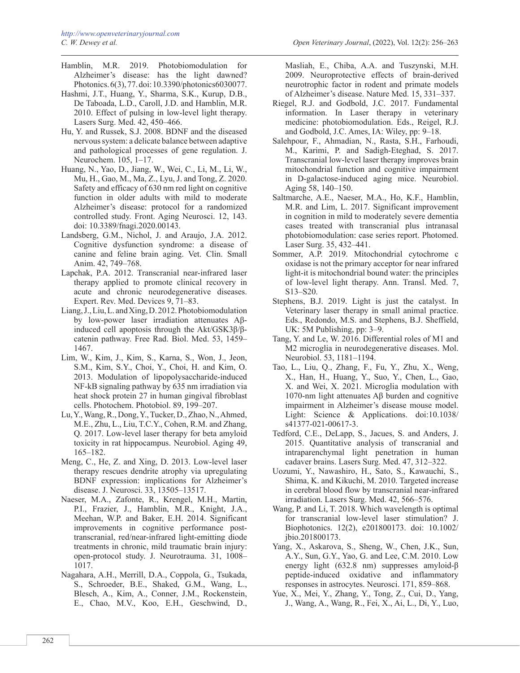- Hamblin, M.R. 2019. Photobiomodulation for Alzheimer's disease: has the light dawned? Photonics. 6(3), 77. doi: 10.3390/photonics6030077.
- Hashmi, J.T., Huang, Y., Sharma, S.K., Kurup, D.B., De Taboada, L.D., Caroll, J.D. and Hamblin, M.R. 2010. Effect of pulsing in low-level light therapy. Lasers Surg. Med. 42, 450–466.
- Hu, Y. and Russek, S.J. 2008. BDNF and the diseased nervous system: a delicate balance between adaptive and pathological processes of gene regulation. J. Neurochem. 105, 1–17.
- Huang, N., Yao, D., Jiang, W., Wei, C., Li, M., Li, W., Mu, H., Gao, M., Ma, Z., Lyu, J. and Tong, Z. 2020. Safety and efficacy of 630 nm red light on cognitive function in older adults with mild to moderate Alzheimer's disease: protocol for a randomized controlled study. Front. Aging Neurosci. 12, 143. doi: 10.3389/fnagi.2020.00143.
- Landsberg, G.M., Nichol, J. and Araujo, J.A. 2012. Cognitive dysfunction syndrome: a disease of canine and feline brain aging. Vet. Clin. Small Anim. 42, 749–768.
- Lapchak, P.A. 2012. Transcranial near-infrared laser therapy applied to promote clinical recovery in acute and chronic neurodegenerative diseases. Expert. Rev. Med. Devices 9, 71–83.
- Liang, J., Liu, L. and Xing, D. 2012. Photobiomodulation by low-power laser irradiation attenuates Aβinduced cell apoptosis through the Akt/GSK3β/βcatenin pathway. Free Rad. Biol. Med. 53, 1459– 1467.
- Lim, W., Kim, J., Kim, S., Karna, S., Won, J., Jeon, S.M., Kim, S.Y., Choi, Y., Choi, H. and Kim, O. 2013. Modulation of lipopolysaccharide-induced NF-kB signaling pathway by 635 nm irradiation via heat shock protein 27 in human gingival fibroblast cells. Photochem. Photobiol. 89, 199–207.
- Lu, Y., Wang, R., Dong, Y., Tucker, D., Zhao, N., Ahmed, M.E., Zhu, L., Liu, T.C.Y., Cohen, R.M. and Zhang, Q. 2017. Low-level laser therapy for beta amyloid toxicity in rat hippocampus. Neurobiol. Aging 49, 165–182.
- Meng, C., He, Z. and Xing, D. 2013. Low-level laser therapy rescues dendrite atrophy via upregulating BDNF expression: implications for Alzheimer's disease. J. Neurosci. 33, 13505–13517.
- Naeser, M.A., Zafonte, R., Krengel, M.H., Martin, P.I., Frazier, J., Hamblin, M.R., Knight, J.A., Meehan, W.P. and Baker, E.H. 2014. Significant improvements in cognitive performance posttranscranial, red/near-infrared light-emitting diode treatments in chronic, mild traumatic brain injury: open-protocol study. J. Neurotrauma. 31, 1008– 1017.
- Nagahara, A.H., Merrill, D.A., Coppola, G., Tsukada, S., Schroeder, B.E., Shaked, G.M., Wang, L., Blesch, A., Kim, A., Conner, J.M., Rockenstein, E., Chao, M.V., Koo, E.H., Geschwind, D.,

Masliah, E., Chiba, A.A. and Tuszynski, M.H. 2009. Neuroprotective effects of brain-derived neurotrophic factor in rodent and primate models of Alzheimer's disease. Nature Med. 15, 331–337.

- Riegel, R.J. and Godbold, J.C. 2017. Fundamental information. In Laser therapy in veterinary medicine: photobiomodulation. Eds., Reigel, R.J. and Godbold, J.C. Ames, IA: Wiley, pp: 9–18.
- Salehpour, F., Ahmadian, N., Rasta, S.H., Farhoudi, M., Karimi, P. and Sadigh-Eteghad, S. 2017. Transcranial low-level laser therapy improves brain mitochondrial function and cognitive impairment in D-galactose-induced aging mice. Neurobiol. Aging 58, 140–150.
- Saltmarche, A.E., Naeser, M.A., Ho, K.F., Hamblin, M.R. and Lim, L. 2017. Significant improvement in cognition in mild to moderately severe dementia cases treated with transcranial plus intranasal photobiomodulation: case series report. Photomed. Laser Surg. 35, 432–441.
- Sommer, A.P. 2019. Mitochondrial cytochrome c oxidase is not the primary acceptor for near infrared light-it is mitochondrial bound water: the principles of low-level light therapy. Ann. Transl. Med. 7, S13–S20.
- Stephens, B.J. 2019. Light is just the catalyst. In Veterinary laser therapy in small animal practice. Eds., Redondo, M.S. and Stephens, B.J. Sheffield, UK: 5M Publishing, pp: 3–9.
- Tang, Y. and Le, W. 2016. Differential roles of M1 and M2 microglia in neurodegenerative diseases. Mol. Neurobiol. 53, 1181–1194.
- Tao, L., Liu, Q., Zhang, F., Fu, Y., Zhu, X., Weng, X., Han, H., Huang, Y., Suo, Y., Chen, L., Gao, X. and Wei, X. 2021. Microglia modulation with 1070-nm light attenuates Aβ burden and cognitive impairment in Alzheimer's disease mouse model. Light: Science & Applications. doi:10.1038/ s41377-021-00617-3.
- Tedford, C.E., DeLapp, S., Jacues, S. and Anders, J. 2015. Quantitative analysis of transcranial and intraparenchymal light penetration in human cadaver brains. Lasers Surg. Med. 47, 312–322.
- Uozumi, Y., Nawashiro, H., Sato, S., Kawauchi, S., Shima, K. and Kikuchi, M. 2010. Targeted increase in cerebral blood flow by transcranial near-infrared irradiation. Lasers Surg. Med. 42, 566–576.
- Wang, P. and Li, T. 2018. Which wavelength is optimal for transcranial low-level laser stimulation? J. Biophotonics. 12(2), e201800173. doi: 10.1002/ jbio.201800173.
- Yang, X., Askarova, S., Sheng, W., Chen, J.K., Sun, A.Y., Sun, G.Y., Yao, G. and Lee, C.M. 2010. Low energy light (632.8 nm) suppresses amyloid-β peptide-induced oxidative and inflammatory responses in astrocytes. Neurosci. 171, 859–868.
- Yue, X., Mei, Y., Zhang, Y., Tong, Z., Cui, D., Yang, J., Wang, A., Wang, R., Fei, X., Ai, L., Di, Y., Luo,